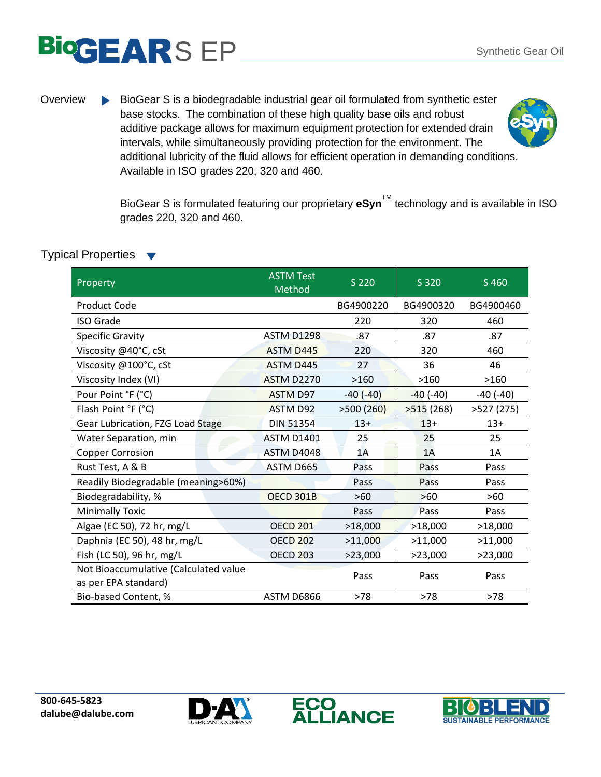## S EP Synthetic Gear Oil

- 
- Overview BioGear S is a biodegradable industrial gear oil formulated from synthetic ester base stocks. The combination of these high quality base oils and robust additive package allows for maximum equipment protection for extended drain intervals, while simultaneously providing protection for the environment. The additional lubricity of the fluid allows for efficient operation in demanding conditions. Available in ISO grades 220, 320 and 460.

BioGear S is formulated featuring our proprietary eSyn™ technology and is available in ISO grades 220, 320 and 460.

| Property                                                      | <b>ASTM Test</b><br>Method | S 220      | S 320           | S 460           |
|---------------------------------------------------------------|----------------------------|------------|-----------------|-----------------|
| <b>Product Code</b>                                           |                            | BG4900220  | BG4900320       | BG4900460       |
| <b>ISO Grade</b>                                              |                            | 220        | 320             | 460             |
| <b>Specific Gravity</b>                                       | <b>ASTM D1298</b>          | .87        | .87             | .87             |
| Viscosity @40°C, cSt                                          | <b>ASTM D445</b>           | 220        | 320             | 460             |
| Viscosity @100°C, cSt                                         | <b>ASTM D445</b>           | 27         | 36              | 46              |
| Viscosity Index (VI)                                          | <b>ASTM D2270</b>          | >160       | >160            | >160            |
| Pour Point °F (°C)                                            | ASTM D97                   | $-40(-40)$ | $-40$ ( $-40$ ) | $-40$ ( $-40$ ) |
| Flash Point °F (°C)                                           | <b>ASTM D92</b>            | >500(260)  | >515(268)       | >527(275)       |
| Gear Lubrication, FZG Load Stage                              | <b>DIN 51354</b>           | $13+$      | $13+$           | $13+$           |
| Water Separation, min                                         | <b>ASTM D1401</b>          | 25         | 25              | 25              |
| <b>Copper Corrosion</b>                                       | ASTM D4048                 | 1A         | 1A              | 1A              |
| Rust Test, A & B                                              | ASTM D665                  | Pass       | Pass            | Pass            |
| Readily Biodegradable (meaning>60%)                           |                            | Pass       | Pass            | Pass            |
| Biodegradability, %                                           | <b>OECD 301B</b>           | $>60$      | >60             | $>60$           |
| <b>Minimally Toxic</b>                                        |                            | Pass       | Pass            | Pass            |
| Algae (EC 50), 72 hr, mg/L                                    | <b>OECD 201</b>            | >18,000    | >18,000         | >18,000         |
| Daphnia (EC 50), 48 hr, mg/L                                  | <b>OECD 202</b>            | >11,000    | >11,000         | >11,000         |
| Fish (LC 50), 96 hr, mg/L                                     | <b>OECD 203</b>            | >23,000    | >23,000         | >23,000         |
| Not Bioaccumulative (Calculated value<br>as per EPA standard) |                            | Pass       | Pass            | Pass            |
| Bio-based Content, %                                          | ASTM D6866                 | $>78$      | $>78$           | $>78$           |

## Typical Properties ▼